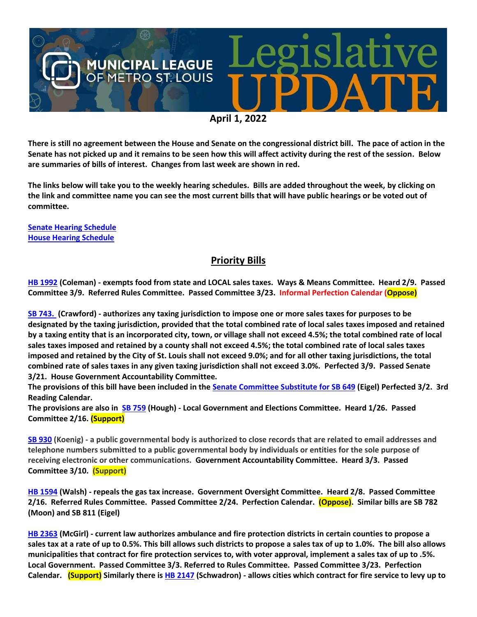

**There is still no agreement between the House and Senate on the congressional district bill. The pace of action in the Senate has not picked up and it remains to be seen how this will affect activity during the rest of the session. Below are summaries of bills of interest. Changes from last week are shown in red.**

**The links below will take you to the weekly hearing schedules. Bills are added throughout the week, by clicking on the link and committee name you can see the most current bills that will have public hearings or be voted out of committee.**

**[Senate Hearing Schedule](https://www.senate.mo.gov/hearingsschedule/hrings.htm) [House Hearing Schedule](https://www.house.mo.gov/AllHearings.aspx?sdid=01182022)** 

## **Priority Bills**

**[HB 1992](https://house.mo.gov/Bill.aspx?bill=HB1992&year=2022&code=R) (Coleman) - exempts food from state and LOCAL sales taxes. Ways & Means Committee. Heard 2/9. Passed Committee 3/9. Referred Rules Committee. Passed Committee 3/23. Informal Perfection Calendar (Oppose)**

**[SB 743.](https://www.senate.mo.gov/22info/BTS_Web/Bill.aspx?SessionType=R&BillID=71260668) (Crawford) - authorizes any taxing jurisdiction to impose one or more sales taxes for purposes to be designated by the taxing jurisdiction, provided that the total combined rate of local sales taxes imposed and retained by a taxing entity that is an incorporated city, town, or village shall not exceed 4.5%; the total combined rate of local sales taxes imposed and retained by a county shall not exceed 4.5%; the total combined rate of local sales taxes imposed and retained by the City of St. Louis shall not exceed 9.0%; and for all other taxing jurisdictions, the total combined rate of sales taxes in any given taxing jurisdiction shall not exceed 3.0%. Perfected 3/9. Passed Senate 3/21. House Government Accountability Committee.**

**The provisions of this bill have been included in the [Senate Committee Substitute for SB 649](https://www.senate.mo.gov/22info/BTS_Web/Bill.aspx?SessionType=R&BillID=71259737) (Eigel) Perfected 3/2. 3rd Reading Calendar.** 

**The provisions are also in [SB 759](https://www.senate.mo.gov/22info/BTS_Web/Bill.aspx?SessionType=R&BillID=71259645) (Hough) - Local Government and Elections Committee. Heard 1/26. Passed Committee 2/16. (Support)** 

**[SB 930](https://www.senate.mo.gov/22info/BTS_Web/Bill.aspx?SessionType=R&BillID=71259916) (Koenig) - a public governmental body is authorized to close records that are related to email addresses and telephone numbers submitted to a public governmental body by individuals or entities for the sole purpose of receiving electronic or other communications. Government Accountability Committee. Heard 3/3. Passed Committee 3/10. (Support)**

**[HB 1594](https://house.mo.gov/Bill.aspx?bill=HB1594&year=2022&code=R) (Walsh) - repeals the gas tax increase. Government Oversight Committee. Heard 2/8. Passed Committee 2/16. Referred Rules Committee. Passed Committee 2/24. Perfection Calendar. (Oppose). Similar bills are SB 782 (Moon) and SB 811 (Eigel)**

**[HB 2363](https://www.house.mo.gov/bill.aspx?bill=HB2363&year=2022&code=R) (McGirl) - current law authorizes ambulance and fire protection districts in certain counties to propose a sales tax at a rate of up to 0.5%. This bill allows such districts to propose a sales tax of up to 1.0%. The bill also allows municipalities that contract for fire protection services to, with voter approval, implement a sales tax of up to .5%. Local Government. Passed Committee 3/3. Referred to Rules Committee. Passed Committee 3/23. Perfection Calendar. (Support) Similarly there i[s HB 2147](https://house.mo.gov/Bill.aspx?bill=HB2147&year=2022&code=R) (Schwadron) - allows cities which contract for fire service to levy up to**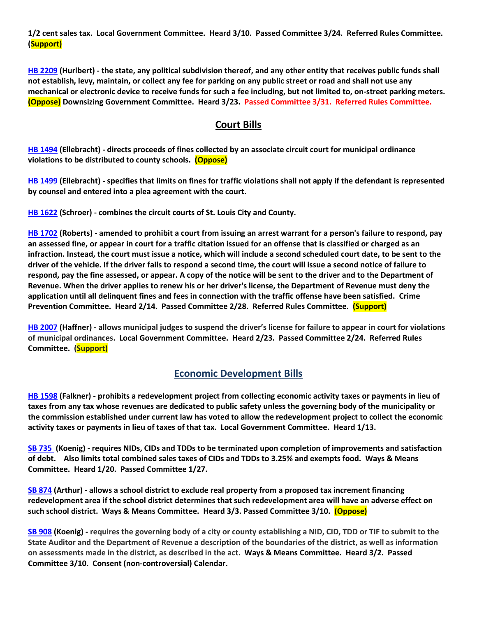**1/2 cent sales tax. Local Government Committee. Heard 3/10. Passed Committee 3/24. Referred Rules Committee. (Support)**

**[HB 2209](https://house.mo.gov/Bill.aspx?bill=HB2209&year=2022&code=R) (Hurlbert) - the state, any political subdivision thereof, and any other entity that receives public funds shall not establish, levy, maintain, or collect any fee for parking on any public street or road and shall not use any mechanical or electronic device to receive funds for such a fee including, but not limited to, on-street parking meters. (Oppose) Downsizing Government Committee. Heard 3/23. Passed Committee 3/31. Referred Rules Committee.**

#### **Court Bills**

**[HB 1494](https://house.mo.gov/Bill.aspx?bill=HB1494&year=2022&code=R) (Ellebracht) - directs proceeds of fines collected by an associate circuit court for municipal ordinance violations to be distributed to county schools. (Oppose)**

**[HB 1499](https://house.mo.gov/Bill.aspx?bill=HB1499&year=2022&code=R) (Ellebracht) - specifies that limits on fines for traffic violations shall not apply if the defendant is represented by counsel and entered into a plea agreement with the court.**

**[HB 1622](https://house.mo.gov/Bill.aspx?bill=HB1622&year=2022&code=R) (Schroer) - combines the circuit courts of St. Louis City and County.**

**[HB 1702](https://house.mo.gov/Bill.aspx?bill=HB1702&year=2022&code=R) (Roberts) - amended to prohibit a court from issuing an arrest warrant for a person's failure to respond, pay an assessed fine, or appear in court for a traffic citation issued for an offense that is classified or charged as an infraction. Instead, the court must issue a notice, which will include a second scheduled court date, to be sent to the driver of the vehicle. If the driver fails to respond a second time, the court will issue a second notice of failure to respond, pay the fine assessed, or appear. A copy of the notice will be sent to the driver and to the Department of Revenue. When the driver applies to renew his or her driver's license, the Department of Revenue must deny the application until all delinquent fines and fees in connection with the traffic offense have been satisfied. Crime Prevention Committee. Heard 2/14. Passed Committee 2/28. Referred Rules Committee. (Support)** 

**[HB 2007](https://house.mo.gov/Bill.aspx?bill=HB2007&year=2022&code=R) (Haffner) - allows municipal judges to suspend the driver's license for failure to appear in court for violations of municipal ordinances. Local Government Committee. Heard 2/23. Passed Committee 2/24. Referred Rules Committee. (Support)**

#### **Economic Development Bills**

**[HB 1598](https://house.mo.gov/Bill.aspx?bill=HB1598&year=2022&code=R) (Falkner) - prohibits a redevelopment project from collecting economic activity taxes or payments in lieu of taxes from any tax whose revenues are dedicated to public safety unless the governing body of the municipality or the commission established under current law has voted to allow the redevelopment project to collect the economic activity taxes or payments in lieu of taxes of that tax. Local Government Committee. Heard 1/13.**

**[SB 735](https://www.senate.mo.gov/22info/BTS_Web/Bill.aspx?SessionType=R&BillID=71259902%20%20) (Koenig) - requires NIDs, CIDs and TDDs to be terminated upon completion of improvements and satisfaction of debt. Also limits total combined sales taxes of CIDs and TDDs to 3.25% and exempts food. Ways & Means Committee. Heard 1/20. Passed Committee 1/27.**

**[SB 874](https://www.senate.mo.gov/22info/BTS_Web/Bill.aspx?SessionType=R&BillID=71259609) (Arthur) - allows a school district to exclude real property from a proposed tax increment financing redevelopment area if the school district determines that such redevelopment area will have an adverse effect on such school district. Ways & Means Committee. Heard 3/3. Passed Committee 3/10. (Oppose)**

**[SB 908](https://www.senate.mo.gov/22info/BTS_Web/Bill.aspx?SessionType=R&BillID=71259913) (Koenig) - requires the governing body of a city or county establishing a NID, CID, TDD or TIF to submit to the State Auditor and the Department of Revenue a description of the boundaries of the district, as well as information on assessments made in the district, as described in the act. Ways & Means Committee. Heard 3/2. Passed Committee 3/10. Consent (non-controversial) Calendar.**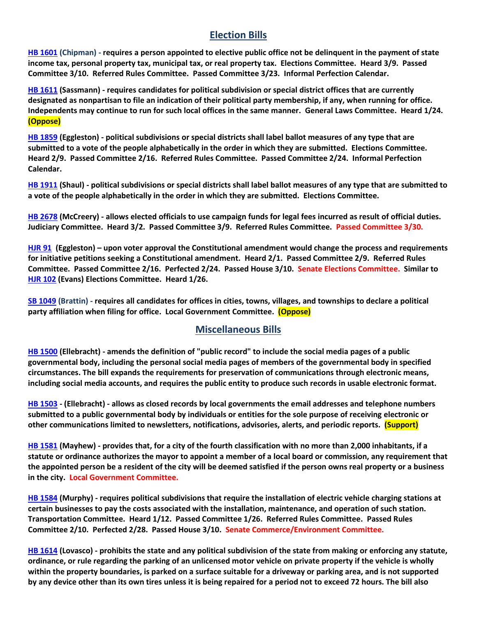## **Election Bills**

**[HB 1601](https://house.mo.gov/Bill.aspx?bill=HB1601&year=2022&code=R) (Chipman) - requires a person appointed to elective public office not be delinquent in the payment of state income tax, personal property tax, municipal tax, or real property tax. Elections Committee. Heard 3/9. Passed Committee 3/10. Referred Rules Committee. Passed Committee 3/23. Informal Perfection Calendar.**

**HB [1611](https://house.mo.gov/Bill.aspx?bill=HB1611&year=2022&code=R) (Sassmann) - requires candidates for political subdivision or special district offices that are currently designated as nonpartisan to file an indication of their political party membership, if any, when running for office. Independents may continue to run for such local offices in the same manner. General Laws Committee. Heard 1/24. (Oppose)**

**[HB 1859](https://house.mo.gov/Bill.aspx?bill=HB1859&year=2022&code=R) (Eggleston) - political subdivisions or special districts shall label ballot measures of any type that are submitted to a vote of the people alphabetically in the order in which they are submitted. Elections Committee. Heard 2/9. Passed Committee 2/16. Referred Rules Committee. Passed Committee 2/24. Informal Perfection Calendar.**

**[HB 1911](https://house.mo.gov/Bill.aspx?bill=HB1911&year=2022&code=R) (Shaul) - political subdivisions or special districts shall label ballot measures of any type that are submitted to a vote of the people alphabetically in the order in which they are submitted. Elections Committee.**

**[HB 2678](https://www.house.mo.gov/Bill.aspx?bill=HB2678&year=2022&code=R) (McCreery) - allows elected officials to use campaign funds for legal fees incurred as result of official duties. Judiciary Committee. Heard 3/2. Passed Committee 3/9. Referred Rules Committee. Passed Committee 3/30.**

**[HJR 91](https://www.house.mo.gov/Bill.aspx?bill=HJR91&year=2022&code=R) [\(Eggleston\)](https://www.house.mo.gov/MemberDetails.aspx?year=2022&district=2) – upon voter approval the Constitutional amendment would change the process and requirements for initiative petitions seeking a Constitutional amendment. Heard 2/1. Passed Committee 2/9. Referred Rules Committee. Passed Committee 2/16. Perfected 2/24. Passed House 3/10. Senate Elections Committee. Similar to [HJR 102](https://www.house.mo.gov/Bill.aspx?bill=HJR102&year=2022&code=R) (Evans) Elections Committee. Heard 1/26.** 

**[SB 1049](https://www.senate.mo.gov/22info/BTS_Web/Bill.aspx?SessionType=R&BillID=73129349) (Brattin) - requires all candidates for offices in cities, towns, villages, and townships to declare a political party affiliation when filing for office. Local Government Committee. (Oppose)**

#### **Miscellaneous Bills**

**[HB 1500](https://house.mo.gov/Bill.aspx?bill=HB1500&year=2022&code=R) (Ellebracht) - amends the definition of "public record" to include the social media pages of a public governmental body, including the personal social media pages of members of the governmental body in specified circumstances. The bill expands the requirements for preservation of communications through electronic means, including social media accounts, and requires the public entity to produce such records in usable electronic format.**

**[HB 1503](https://house.mo.gov/Bill.aspx?bill=HB1503&year=2022&code=R) - (Ellebracht) - allows as closed records by local governments the email addresses and telephone numbers submitted to a public governmental body by individuals or entities for the sole purpose of receiving electronic or other communications limited to newsletters, notifications, advisories, alerts, and periodic reports. (Support)**

**[HB 1581](https://house.mo.gov/Bill.aspx?bill=HB1581&year=2022&code=R) (Mayhew) - provides that, for a city of the fourth classification with no more than 2,000 inhabitants, if a statute or ordinance authorizes the mayor to appoint a member of a local board or commission, any requirement that the appointed person be a resident of the city will be deemed satisfied if the person owns real property or a business in the city. Local Government Committee.**

**[HB 1584](https://house.mo.gov/Bill.aspx?bill=HB1584&year=2022&code=R) (Murphy) - requires political subdivisions that require the installation of electric vehicle charging stations at certain businesses to pay the costs associated with the installation, maintenance, and operation of such station. Transportation Committee. Heard 1/12. Passed Committee 1/26. Referred Rules Committee. Passed Rules Committee 2/10. Perfected 2/28. Passed House 3/10. Senate Commerce/Environment Committee.**

**[HB 1614](https://house.mo.gov/Bill.aspx?bill=HB1614&year=2022&code=R) (Lovasco) - prohibits the state and any political subdivision of the state from making or enforcing any statute, ordinance, or rule regarding the parking of an unlicensed motor vehicle on private property if the vehicle is wholly within the property boundaries, is parked on a surface suitable for a driveway or parking area, and is not supported by any device other than its own tires unless it is being repaired for a period not to exceed 72 hours. The bill also**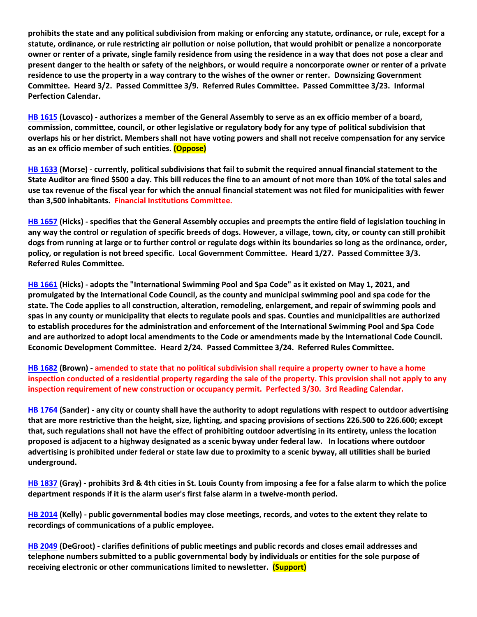**prohibits the state and any political subdivision from making or enforcing any statute, ordinance, or rule, except for a statute, ordinance, or rule restricting air pollution or noise pollution, that would prohibit or penalize a noncorporate owner or renter of a private, single family residence from using the residence in a way that does not pose a clear and present danger to the health or safety of the neighbors, or would require a noncorporate owner or renter of a private residence to use the property in a way contrary to the wishes of the owner or renter. Downsizing Government Committee. Heard 3/2. Passed Committee 3/9. Referred Rules Committee. Passed Committee 3/23. Informal Perfection Calendar.**

**[HB 1615](https://house.mo.gov/Bill.aspx?bill=HB1615&year=2022&code=R) (Lovasco) - authorizes a member of the General Assembly to serve as an ex officio member of a board, commission, committee, council, or other legislative or regulatory body for any type of political subdivision that overlaps his or her district. Members shall not have voting powers and shall not receive compensation for any service as an ex officio member of such entities. (Oppose)**

**[HB 1633](https://house.mo.gov/Bill.aspx?bill=HB1633&year=2022&code=R) (Morse) - currently, political subdivisions that fail to submit the required annual financial statement to the State Auditor are fined \$500 a day. This bill reduces the fine to an amount of not more than 10% of the total sales and use tax revenue of the fiscal year for which the annual financial statement was not filed for municipalities with fewer than 3,500 inhabitants. Financial Institutions Committee.**

**[HB 1657](https://house.mo.gov/Bill.aspx?bill=HB1657&year=2022&code=R) (Hicks) - specifies that the General Assembly occupies and preempts the entire field of legislation touching in any way the control or regulation of specific breeds of dogs. However, a village, town, city, or county can still prohibit dogs from running at large or to further control or regulate dogs within its boundaries so long as the ordinance, order, policy, or regulation is not breed specific. Local Government Committee. Heard 1/27. Passed Committee 3/3. Referred Rules Committee.**

**[HB 1661](https://house.mo.gov/Bill.aspx?bill=HB1661&year=2022&code=R) (Hicks) - adopts the "International Swimming Pool and Spa Code" as it existed on May 1, 2021, and promulgated by the International Code Council, as the county and municipal swimming pool and spa code for the state. The Code applies to all construction, alteration, remodeling, enlargement, and repair of swimming pools and spas in any county or municipality that elects to regulate pools and spas. Counties and municipalities are authorized to establish procedures for the administration and enforcement of the International Swimming Pool and Spa Code and are authorized to adopt local amendments to the Code or amendments made by the International Code Council. Economic Development Committee. Heard 2/24. Passed Committee 3/24. Referred Rules Committee.**

**[HB 1682](https://www.house.mo.gov/Bill.aspx?bill=HB1682&year=2022&code=R) (Brown) - amended to state that no political subdivision shall require a property owner to have a home inspection conducted of a residential property regarding the sale of the property. This provision shall not apply to any inspection requirement of new construction or occupancy permit. Perfected 3/30. 3rd Reading Calendar.**

**[HB 1764](https://house.mo.gov/Bill.aspx?bill=HB1764&year=2022&code=R) (Sander) - any city or county shall have the authority to adopt regulations with respect to outdoor advertising that are more restrictive than the height, size, lighting, and spacing provisions of sections 226.500 to 226.600; except that, such regulations shall not have the effect of prohibiting outdoor advertising in its entirety, unless the location proposed is adjacent to a highway designated as a scenic byway under federal law. In locations where outdoor advertising is prohibited under federal or state law due to proximity to a scenic byway, all utilities shall be buried underground.**

**[HB 1837](https://house.mo.gov/Bill.aspx?bill=HB1837&year=2022&code=R) (Gray) - prohibits 3rd & 4th cities in St. Louis County from imposing a fee for a false alarm to which the police department responds if it is the alarm user's first false alarm in a twelve-month period.**

**[HB 2014](https://house.mo.gov/Bill.aspx?bill=HB2014&year=2022&code=R) (Kelly) - public governmental bodies may close meetings, records, and votes to the extent they relate to recordings of communications of a public employee.**

**[HB 2049](https://house.mo.gov/Bill.aspx?bill=HB2049&year=2022&code=R) (DeGroot) - clarifies definitions of public meetings and public records and closes email addresses and telephone numbers submitted to a public governmental body by individuals or entities for the sole purpose of receiving electronic or other communications limited to newsletter. (Support)**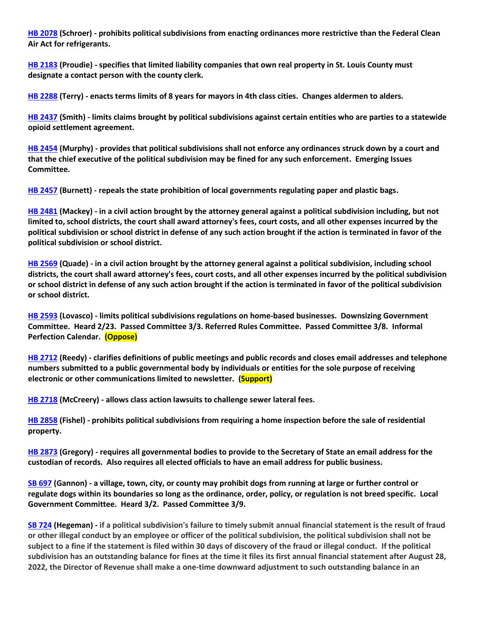**[HB 2078](https://www.house.mo.gov/Bill.aspx?bill=HB2078&year=2022&code=R) (Schroer) - prohibits political subdivisions from enacting ordinances more restrictive than the Federal Clean Air Act for refrigerants.**

**[HB 2183](https://house.mo.gov/Bill.aspx?bill=HB2183&year=2022&code=R) (Proudie) - specifies that limited liability companies that own real property in St. Louis County must designate a contact person with the county clerk.**

**[HB 2288](https://www.house.mo.gov/Bill.aspx?bill=HB2288&year=2022&code=R) (Terry) - enacts terms limits of 8 years for mayors in 4th class cities. Changes aldermen to alders.**

**[HB 2437](https://house.mo.gov/Bill.aspx?bill=HB2437&year=2022&code=R) (Smith) - limits claims brought by political subdivisions against certain entities who are parties to a statewide opioid settlement agreement.**

**[HB 2454](https://house.mo.gov/Bill.aspx?bill=HB2454&year=2022&code=R) (Murphy) - provides that political subdivisions shall not enforce any ordinances struck down by a court and that the chief executive of the political subdivision may be fined for any such enforcement. Emerging Issues Committee.**

**[HB 2457](https://house.mo.gov/Bill.aspx?bill=HB2457&year=2022&code=R) (Burnett) - repeals the state prohibition of local governments regulating paper and plastic bags.**

**[HB 2481](https://house.mo.gov/Bill.aspx?bill=HB2481&year=2022&code=R) (Mackey) - in a civil action brought by the attorney general against a political subdivision including, but not limited to, school districts, the court shall award attorney's fees, court costs, and all other expenses incurred by the political subdivision or school district in defense of any such action brought if the action is terminated in favor of the political subdivision or school district.**

**[HB 2569](https://www.house.mo.gov/Bill.aspx?bill=HB2569&year=2022&code=R) (Quade) - in a civil action brought by the attorney general against a political subdivision, including school districts, the court shall award attorney's fees, court costs, and all other expenses incurred by the political subdivision or school district in defense of any such action brought if the action is terminated in favor of the political subdivision or school district.**

**[HB 2593](https://www.house.mo.gov/Bill.aspx?bill=HB2593&year=2022&code=R) (Lovasco) - limits political subdivisions regulations on home-based businesses. Downsizing Government Committee. Heard 2/23. Passed Committee 3/3. Referred Rules Committee. Passed Committee 3/8. Informal Perfection Calendar. (Oppose)**

**[HB 2712](https://www.house.mo.gov/Bill.aspx?bill=HB2712&year=2022&code=R) (Reedy) - clarifies definitions of public meetings and public records and closes email addresses and telephone numbers submitted to a public governmental body by individuals or entities for the sole purpose of receiving electronic or other communications limited to newsletter. (Support)**

**[HB 2718](https://www.house.mo.gov/Bill.aspx?bill=HB2718&year=2022&code=R) (McCreery) - allows class action lawsuits to challenge sewer lateral fees.**

**[HB 2858](https://www.house.mo.gov/Bill.aspx?bill=HB2858&year=2022&code=R) (Fishel) - prohibits political subdivisions from requiring a home inspection before the sale of residential property.**

**[HB 2873](https://www.house.mo.gov/Bill.aspx?bill=HB2873&year=2022&code=R) (Gregory) - requires all governmental bodies to provide to the Secretary of State an email address for the custodian of records. Also requires all elected officials to have an email address for public business.**

**[SB 697](https://www.senate.mo.gov/22info/BTS_Web/Bill.aspx?SessionType=R&BillID=71259741) (Gannon) - a village, town, city, or county may prohibit dogs from running at large or further control or regulate dogs within its boundaries so long as the ordinance, order, policy, or regulation is not breed specific. Local Government Committee. Heard 3/2. Passed Committee 3/9.**

**[SB 724](https://www.senate.mo.gov/22info/BTS_Web/Bill.aspx?SessionType=R&BillID=71259818) (Hegeman) - if a political subdivision's failure to timely submit annual financial statement is the result of fraud or other illegal conduct by an employee or officer of the political subdivision, the political subdivision shall not be subject to a fine if the statement is filed within 30 days of discovery of the fraud or illegal conduct. If the political subdivision has an outstanding balance for fines at the time it files its first annual financial statement after August 28, 2022, the Director of Revenue shall make a one-time downward adjustment to such outstanding balance in an**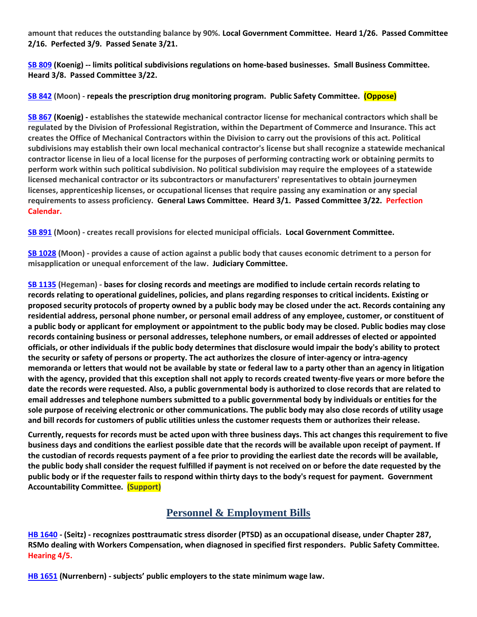**amount that reduces the outstanding balance by 90%. Local Government Committee. Heard 1/26. Passed Committee 2/16. Perfected 3/9. Passed Senate 3/21.**

**[SB 809](https://www.senate.mo.gov/22info/BTS_Web/Bill.aspx?SessionType=R&BillID=71259907) (Koenig) -- limits political subdivisions regulations on home-based businesses. Small Business Committee. Heard 3/8. Passed Committee 3/22.**

**[SB 842](https://www.senate.mo.gov/22info/BTS_Web/Bill.aspx?SessionType=R&BillID=71259877) (Moon) - repeals the prescription drug monitoring program. Public Safety Committee. (Oppose)**

**[SB 867](https://www.senate.mo.gov/22info/BTS_Web/Bill.aspx?SessionType=R&BillID=71259909) (Koenig) - establishes the statewide mechanical contractor license for mechanical contractors which shall be regulated by the Division of Professional Registration, within the Department of Commerce and Insurance. This act creates the Office of Mechanical Contractors within the Division to carry out the provisions of this act. Political subdivisions may establish their own local mechanical contractor's license but shall recognize a statewide mechanical contractor license in lieu of a local license for the purposes of performing contracting work or obtaining permits to perform work within such political subdivision. No political subdivision may require the employees of a statewide licensed mechanical contractor or its subcontractors or manufacturers' representatives to obtain journeymen licenses, apprenticeship licenses, or occupational licenses that require passing any examination or any special requirements to assess proficiency. General Laws Committee. Heard 3/1. Passed Committee 3/22. Perfection Calendar.**

**[SB 891](https://www.senate.mo.gov/22info/BTS_Web/Bill.aspx?SessionType=R&BillID=71259885) (Moon) - creates recall provisions for elected municipal officials. Local Government Committee.**

**[SB 1028](https://www.senate.mo.gov/22info/BTS_Web/Bill.aspx?SessionType=R&BillID=72748795) (Moon) - provides a cause of action against a public body that causes economic detriment to a person for misapplication or unequal enforcement of the law. Judiciary Committee.**

**[SB 1135](https://www.senate.mo.gov/22info/BTS_Web/Bill.aspx?SessionType=R&BillID=75554857) (Hegeman) - bases for closing records and meetings are modified to include certain records relating to records relating to operational guidelines, policies, and plans regarding responses to critical incidents. Existing or proposed security protocols of property owned by a public body may be closed under the act. Records containing any residential address, personal phone number, or personal email address of any employee, customer, or constituent of a public body or applicant for employment or appointment to the public body may be closed. Public bodies may close records containing business or personal addresses, telephone numbers, or email addresses of elected or appointed officials, or other individuals if the public body determines that disclosure would impair the body's ability to protect the security or safety of persons or property. The act authorizes the closure of inter-agency or intra-agency memoranda or letters that would not be available by state or federal law to a party other than an agency in litigation with the agency, provided that this exception shall not apply to records created twenty-five years or more before the date the records were requested. Also, a public governmental body is authorized to close records that are related to email addresses and telephone numbers submitted to a public governmental body by individuals or entities for the sole purpose of receiving electronic or other communications. The public body may also close records of utility usage and bill records for customers of public utilities unless the customer requests them or authorizes their release.**

**Currently, requests for records must be acted upon with three business days. This act changes this requirement to five business days and conditions the earliest possible date that the records will be available upon receipt of payment. If the custodian of records requests payment of a fee prior to providing the earliest date the records will be available, the public body shall consider the request fulfilled if payment is not received on or before the date requested by the public body or if the requester fails to respond within thirty days to the body's request for payment. Government Accountability Committee. (Support)**

## **Personnel & Employment Bills**

**[HB 1640](https://house.mo.gov/Bill.aspx?bill=HB1640&year=2022&code=R) - (Seitz) - recognizes posttraumatic stress disorder (PTSD) as an occupational disease, under Chapter 287, RSMo dealing with Workers Compensation, when diagnosed in specified first responders. Public Safety Committee. Hearing 4/5.**

**[HB 1651](https://house.mo.gov/Bill.aspx?bill=HB1651&year=2022&code=R) (Nurrenbern) - subjects' public employers to the state minimum wage law.**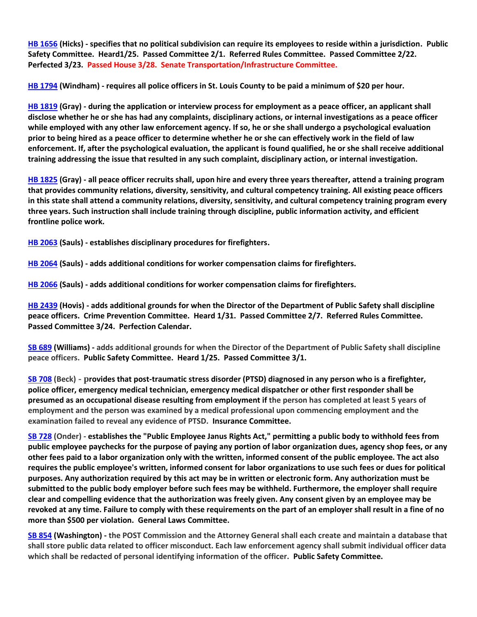**[HB 1656](https://house.mo.gov/Bill.aspx?bill=HB1656&year=2022&code=R) (Hicks) - specifies that no political subdivision can require its employees to reside within a jurisdiction. Public Safety Committee. Heard1/25. Passed Committee 2/1. Referred Rules Committee. Passed Committee 2/22. Perfected 3/23. Passed House 3/28. Senate Transportation/Infrastructure Committee.**

**[HB 1794](https://house.mo.gov/Bill.aspx?bill=HB1794&year=2022&code=R) (Windham) - requires all police officers in St. Louis County to be paid a minimum of \$20 per hour.**

**[HB 1819](https://house.mo.gov/Bill.aspx?bill=HB1819&year=2022&code=R) (Gray) - during the application or interview process for employment as a peace officer, an applicant shall disclose whether he or she has had any complaints, disciplinary actions, or internal investigations as a peace officer while employed with any other law enforcement agency. If so, he or she shall undergo a psychological evaluation prior to being hired as a peace officer to determine whether he or she can effectively work in the field of law enforcement. If, after the psychological evaluation, the applicant is found qualified, he or she shall receive additional training addressing the issue that resulted in any such complaint, disciplinary action, or internal investigation.**

**[HB 1825](https://house.mo.gov/Bill.aspx?bill=HB1825&year=2022&code=R) (Gray) - all peace officer recruits shall, upon hire and every three years thereafter, attend a training program that provides community relations, diversity, sensitivity, and cultural competency training. All existing peace officers in this state shall attend a community relations, diversity, sensitivity, and cultural competency training program every three years. Such instruction shall include training through discipline, public information activity, and efficient frontline police work.**

**[HB 2063](https://house.mo.gov/Bill.aspx?bill=HB2063&year=2022&code=R) (Sauls) - establishes disciplinary procedures for firefighters.**

**[HB 2064](https://house.mo.gov/Bill.aspx?bill=HB2064&year=2022&code=R) (Sauls) - adds additional conditions for worker compensation claims for firefighters.**

**[HB 2066](https://house.mo.gov/Bill.aspx?bill=HB2066&year=2022&code=R) (Sauls) - adds additional conditions for worker compensation claims for firefighters.**

**[HB 2439](https://house.mo.gov/Bill.aspx?bill=HB2439&year=2022&code=R) (Hovis) - adds additional grounds for when the Director of the Department of Public Safety shall discipline peace officers. Crime Prevention Committee. Heard 1/31. Passed Committee 2/7. Referred Rules Committee. Passed Committee 3/24. Perfection Calendar.**

**[SB 689](https://www.senate.mo.gov/22info/BTS_Web/Bill.aspx?SessionType=R&BillID=71259715) (Williams) - adds additional grounds for when the Director of the Department of Public Safety shall discipline peace officers. Public Safety Committee. Heard 1/25. Passed Committee 3/1.**

**[SB 708](https://www.senate.mo.gov/22info/BTS_Web/Bill.aspx?SessionType=R&BillID=71259735) (Beck) - provides that post-traumatic stress disorder (PTSD) diagnosed in any person who is a firefighter, police officer, emergency medical technician, emergency medical dispatcher or other first responder shall be presumed as an occupational disease resulting from employment if the person has completed at least 5 years of employment and the person was examined by a medical professional upon commencing employment and the examination failed to reveal any evidence of PTSD. Insurance Committee.**

**[SB 728](https://www.senate.mo.gov/22info/BTS_Web/Bill.aspx?SessionType=R&BillID=71259712) (Onder) - establishes the "Public Employee Janus Rights Act," permitting a public body to withhold fees from public employee paychecks for the purpose of paying any portion of labor organization dues, agency shop fees, or any other fees paid to a labor organization only with the written, informed consent of the public employee. The act also requires the public employee's written, informed consent for labor organizations to use such fees or dues for political purposes. Any authorization required by this act may be in written or electronic form. Any authorization must be submitted to the public body employer before such fees may be withheld. Furthermore, the employer shall require clear and compelling evidence that the authorization was freely given. Any consent given by an employee may be revoked at any time. Failure to comply with these requirements on the part of an employer shall result in a fine of no more than \$500 per violation. General Laws Committee.**

**[SB 854](https://www.senate.mo.gov/22info/BTS_Web/Bill.aspx?SessionType=R&BillID=71259653) (Washington) - the POST Commission and the Attorney General shall each create and maintain a database that shall store public data related to officer misconduct. Each law enforcement agency shall submit individual officer data which shall be redacted of personal identifying information of the officer. Public Safety Committee.**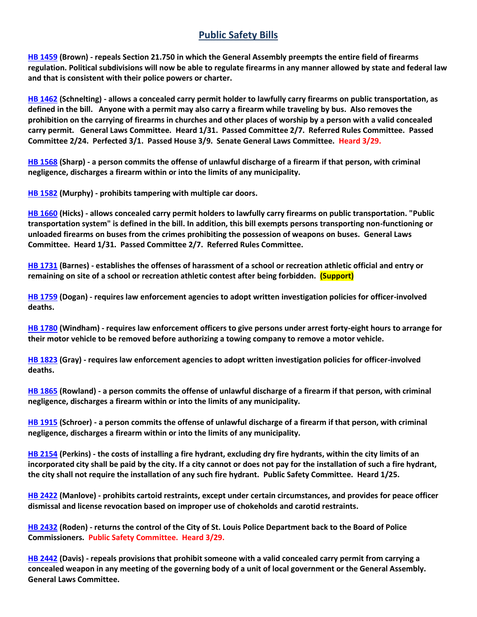## **Public Safety Bills**

**[HB 1459](https://house.mo.gov/Bill.aspx?bill=HB1459&year=2022&code=R) (Brown) - repeals Section 21.750 in which the General Assembly preempts the entire field of firearms regulation. Political subdivisions will now be able to regulate firearms in any manner allowed by state and federal law and that is consistent with their police powers or charter.**

**[HB 1462](https://house.mo.gov/Bill.aspx?bill=HB1462&year=2022&code=R) (Schnelting) - allows a concealed carry permit holder to lawfully carry firearms on public transportation, as defined in the bill. Anyone with a permit may also carry a firearm while traveling by bus. Also removes the prohibition on the carrying of firearms in churches and other places of worship by a person with a valid concealed carry permit. General Laws Committee. Heard 1/31. Passed Committee 2/7. Referred Rules Committee. Passed Committee 2/24. Perfected 3/1. Passed House 3/9. Senate General Laws Committee. Heard 3/29.**

**[HB 1568](https://house.mo.gov/Bill.aspx?bill=HB1568&year=2022&code=R) (Sharp) - a person commits the offense of unlawful discharge of a firearm if that person, with criminal negligence, discharges a firearm within or into the limits of any municipality.**

**[HB 1582](https://house.mo.gov/Bill.aspx?bill=HB1582&year=2022&code=R) (Murphy) - prohibits tampering with multiple car doors.**

**[HB 1660](https://house.mo.gov/Bill.aspx?bill=HB1660&year=2022&code=R) (Hicks) - allows concealed carry permit holders to lawfully carry firearms on public transportation. "Public transportation system" is defined in the bill. In addition, this bill exempts persons transporting non-functioning or unloaded firearms on buses from the crimes prohibiting the possession of weapons on buses. General Laws Committee. Heard 1/31. Passed Committee 2/7. Referred Rules Committee.**

**[HB 1731](https://house.mo.gov/Bill.aspx?bill=HB1731&year=2022&code=R) (Barnes) - establishes the offenses of harassment of a school or recreation athletic official and entry or remaining on site of a school or recreation athletic contest after being forbidden. (Support)**

**[HB 1759](https://house.mo.gov/Bill.aspx?bill=HB1759&year=2022&code=R) (Dogan) - requires law enforcement agencies to adopt written investigation policies for officer-involved deaths.**

**[HB 1780](https://house.mo.gov/Bill.aspx?bill=HB1780&year=2022&code=R) (Windham) - requires law enforcement officers to give persons under arrest forty-eight hours to arrange for their motor vehicle to be removed before authorizing a towing company to remove a motor vehicle.**

**[HB 1823](https://house.mo.gov/Bill.aspx?bill=HB1823&year=2022&code=R) (Gray) - requires law enforcement agencies to adopt written investigation policies for officer-involved deaths.**

**[HB 1865](https://house.mo.gov/Bill.aspx?bill=HB1865&year=2022&code=R) (Rowland) - a person commits the offense of unlawful discharge of a firearm if that person, with criminal negligence, discharges a firearm within or into the limits of any municipality.**

**[HB 1915](https://house.mo.gov/Bill.aspx?bill=HB1915&year=2022&code=R) (Schroer) - a person commits the offense of unlawful discharge of a firearm if that person, with criminal negligence, discharges a firearm within or into the limits of any municipality.**

**[HB 2154](https://house.mo.gov/Bill.aspx?bill=HB2154&year=2022&code=R) (Perkins) - the costs of installing a fire hydrant, excluding dry fire hydrants, within the city limits of an incorporated city shall be paid by the city. If a city cannot or does not pay for the installation of such a fire hydrant, the city shall not require the installation of any such fire hydrant. Public Safety Committee. Heard 1/25.**

**[HB 2422](https://house.mo.gov/Bill.aspx?bill=HB2422&year=2022&code=R) (Manlove) - prohibits cartoid restraints, except under certain circumstances, and provides for peace officer dismissal and license revocation based on improper use of chokeholds and carotid restraints.**

**[HB 2432](https://house.mo.gov/Bill.aspx?bill=HB2432&year=2022&code=R) (Roden) - returns the control of the City of St. Louis Police Department back to the Board of Police Commissioners. Public Safety Committee. Heard 3/29.**

**[HB 2442](https://www.house.mo.gov/Bill.aspx?bill=HB2442&year=2022&code=R) (Davis) - repeals provisions that prohibit someone with a valid concealed carry permit from carrying a concealed weapon in any meeting of the governing body of a unit of local government or the General Assembly. General Laws Committee.**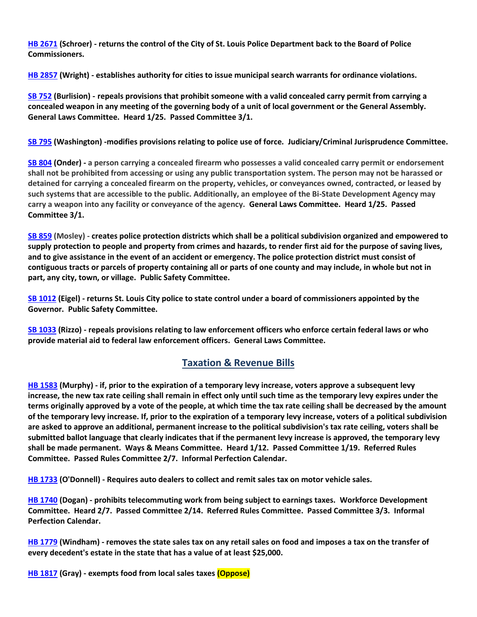**[HB 2671](https://www.house.mo.gov/Bill.aspx?bill=HB2671&year=2022&code=R) (Schroer) - returns the control of the City of St. Louis Police Department back to the Board of Police Commissioners.**

**[HB 2857](https://www.house.mo.gov/Bill.aspx?bill=HB2857&year=2022&code=R) (Wright) - establishes authority for cities to issue municipal search warrants for ordinance violations.**

**[SB 752](https://www.senate.mo.gov/22info/BTS_Web/Bill.aspx?SessionType=R&BillID=71259697) (Burlision) - repeals provisions that prohibit someone with a valid concealed carry permit from carrying a concealed weapon in any meeting of the governing body of a unit of local government or the General Assembly. General Laws Committee. Heard 1/25. Passed Committee 3/1.**

**[SB 795](https://www.senate.mo.gov/22info/BTS_Web/Bill.aspx?SessionType=R&BillID=71259650) (Washington) -modifies provisions relating to police use of force. Judiciary/Criminal Jurisprudence Committee.**

**[SB 804](https://www.senate.mo.gov/22info/BTS_Web/Bill.aspx?SessionType=R&BillID=71263286) (Onder) - a person carrying a concealed firearm who possesses a valid concealed carry permit or endorsement shall not be prohibited from accessing or using any public transportation system. The person may not be harassed or detained for carrying a concealed firearm on the property, vehicles, or conveyances owned, contracted, or leased by such systems that are accessible to the public. Additionally, an employee of the Bi-State Development Agency may carry a weapon into any facility or conveyance of the agency. General Laws Committee. Heard 1/25. Passed Committee 3/1.**

**[SB 859](https://www.senate.mo.gov/22info/BTS_Web/Bill.aspx?SessionType=R&BillID=71259622) (Mosley) - creates police protection districts which shall be a political subdivision organized and empowered to supply protection to people and property from crimes and hazards, to render first aid for the purpose of saving lives, and to give assistance in the event of an accident or emergency. The police protection district must consist of contiguous tracts or parcels of property containing all or parts of one county and may include, in whole but not in part, any city, town, or village. Public Safety Committee.**

**[SB 1012](https://www.senate.mo.gov/22info/BTS_Web/Bill.aspx?SessionType=R&BillID=72392417) (Eigel) - returns St. Louis City police to state control under a board of commissioners appointed by the Governor. Public Safety Committee.**

**[SB 1033](https://www.senate.mo.gov/22info/BTS_Web/Bill.aspx?SessionType=R&BillID=72748800) (Rizzo) - repeals provisions relating to law enforcement officers who enforce certain federal laws or who provide material aid to federal law enforcement officers. General Laws Committee.**

## **Taxation & Revenue Bills**

**[HB 1583](https://house.mo.gov/Bill.aspx?bill=HB1583&year=2022&code=R) (Murphy) - if, prior to the expiration of a temporary levy increase, voters approve a subsequent levy increase, the new tax rate ceiling shall remain in effect only until such time as the temporary levy expires under the terms originally approved by a vote of the people, at which time the tax rate ceiling shall be decreased by the amount of the temporary levy increase. If, prior to the expiration of a temporary levy increase, voters of a political subdivision are asked to approve an additional, permanent increase to the political subdivision's tax rate ceiling, voters shall be submitted ballot language that clearly indicates that if the permanent levy increase is approved, the temporary levy shall be made permanent. Ways & Means Committee. Heard 1/12. Passed Committee 1/19. Referred Rules Committee. Passed Rules Committee 2/7. Informal Perfection Calendar.**

**[HB 1733](https://house.mo.gov/Bill.aspx?bill=HB1733&year=2022&code=R) (O'Donnell) - Requires auto dealers to collect and remit sales tax on motor vehicle sales.**

**[HB 1740](https://house.mo.gov/Bill.aspx?bill=HB1740&year=2022&code=R) (Dogan) - prohibits telecommuting work from being subject to earnings taxes. Workforce Development Committee. Heard 2/7. Passed Committee 2/14. Referred Rules Committee. Passed Committee 3/3. Informal Perfection Calendar.**

**[HB 1779](https://house.mo.gov/Bill.aspx?bill=HB1779&year=2022&code=R) (Windham) - removes the state sales tax on any retail sales on food and imposes a tax on the transfer of every decedent's estate in the state that has a value of at least \$25,000.**

**[HB 1817](https://house.mo.gov/Bill.aspx?bill=HB1817&year=2022&code=R) (Gray) - exempts food from local sales taxes (Oppose)**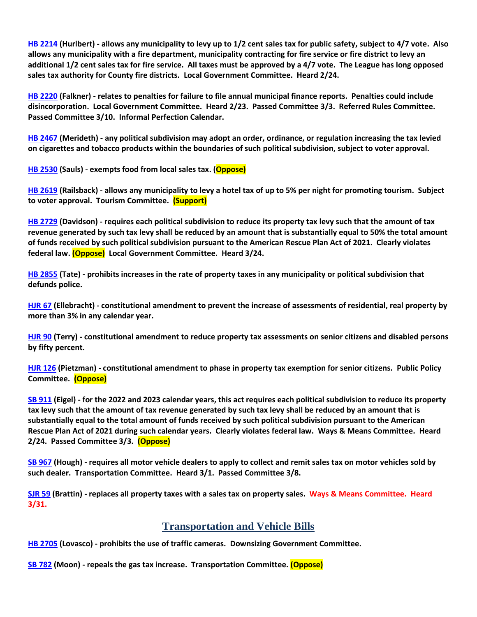**[HB 2214](https://house.mo.gov/Bill.aspx?bill=HB2214&year=2022&code=R) (Hurlbert) - allows any municipality to levy up to 1/2 cent sales tax for public safety, subject to 4/7 vote. Also allows any municipality with a fire department, municipality contracting for fire service or fire district to levy an additional 1/2 cent sales tax for fire service. All taxes must be approved by a 4/7 vote. The League has long opposed sales tax authority for County fire districts. Local Government Committee. Heard 2/24.**

**[HB 2220](https://house.mo.gov/Bill.aspx?bill=HB2220&year=2022&code=R) (Falkner) - relates to penalties for failure to file annual municipal finance reports. Penalties could include disincorporation. Local Government Committee. Heard 2/23. Passed Committee 3/3. Referred Rules Committee. Passed Committee 3/10. Informal Perfection Calendar.**

**[HB 2467](https://house.mo.gov/Bill.aspx?bill=HB2467&year=2022&code=R) (Merideth) - any political subdivision may adopt an order, ordinance, or regulation increasing the tax levied on cigarettes and tobacco products within the boundaries of such political subdivision, subject to voter approval.**

**[HB 2530](https://www.house.mo.gov/Bill.aspx?bill=HB2530&year=2022&code=R) (Sauls) - exempts food from local sales tax. (Oppose)**

**[HB 2619](https://www.house.mo.gov/Bill.aspx?bill=HB2619&year=2022&code=R) (Railsback) - allows any municipality to levy a hotel tax of up to 5% per night for promoting tourism. Subject to voter approval. Tourism Committee. (Support)**

**[HB 2729](https://www.house.mo.gov/Bill.aspx?bill=HB2729&year=2022&code=R) (Davidson) - requires each political subdivision to reduce its property tax levy such that the amount of tax revenue generated by such tax levy shall be reduced by an amount that is substantially equal to 50% the total amount of funds received by such political subdivision pursuant to the American Rescue Plan Act of 2021. Clearly violates federal law. (Oppose) Local Government Committee. Heard 3/24.**

**[HB 2855](https://www.house.mo.gov/Bill.aspx?bill=HB2855&year=2022&code=R) (Tate) - prohibits increases in the rate of property taxes in any municipality or political subdivision that defunds police.**

**[HJR 67](https://house.mo.gov/Bill.aspx?bill=HJR67&year=2022&code=R) (Ellebracht) - constitutional amendment to prevent the increase of assessments of residential, real property by more than 3% in any calendar year.**

**[HJR 90](https://house.mo.gov/Bill.aspx?bill=HJR90&year=2022&code=R) (Terry) - constitutional amendment to reduce property tax assessments on senior citizens and disabled persons by fifty percent.**

**[HJR 126](https://www.house.mo.gov/Bill.aspx?bill=HJR126&year=2022&code=R) (Pietzman) - constitutional amendment to phase in property tax exemption for senior citizens. Public Policy Committee. (Oppose)**

**[SB 911](https://www.senate.mo.gov/22info/BTS_Web/Bill.aspx?SessionType=R&BillID=71259794) (Eigel) - for the 2022 and 2023 calendar years, this act requires each political subdivision to reduce its property tax levy such that the amount of tax revenue generated by such tax levy shall be reduced by an amount that is substantially equal to the total amount of funds received by such political subdivision pursuant to the American Rescue Plan Act of 2021 during such calendar years. Clearly violates federal law. Ways & Means Committee. Heard 2/24. Passed Committee 3/3. (Oppose)**

**[SB 967](https://www.senate.mo.gov/22info/BTS_Web/Bill.aspx?SessionType=R&BillID=71406282) (Hough) - requires all motor vehicle dealers to apply to collect and remit sales tax on motor vehicles sold by such dealer. Transportation Committee. Heard 3/1. Passed Committee 3/8.**

**[SJR 59](https://www.senate.mo.gov/22info/BTS_Web/Bill.aspx?SessionType=R&BillID=77307107) (Brattin) - replaces all property taxes with a sales tax on property sales. Ways & Means Committee. Heard 3/31.**

## **Transportation and Vehicle Bills**

**[HB 2705](https://www.house.mo.gov/Bill.aspx?bill=HB2705&year=2022&code=R) (Lovasco) - prohibits the use of traffic cameras. Downsizing Government Committee.**

**[SB 782](https://www.senate.mo.gov/22info/BTS_Web/Bill.aspx?SessionType=R&BillID=71259873) (Moon) - repeals the gas tax increase. Transportation Committee. (Oppose)**